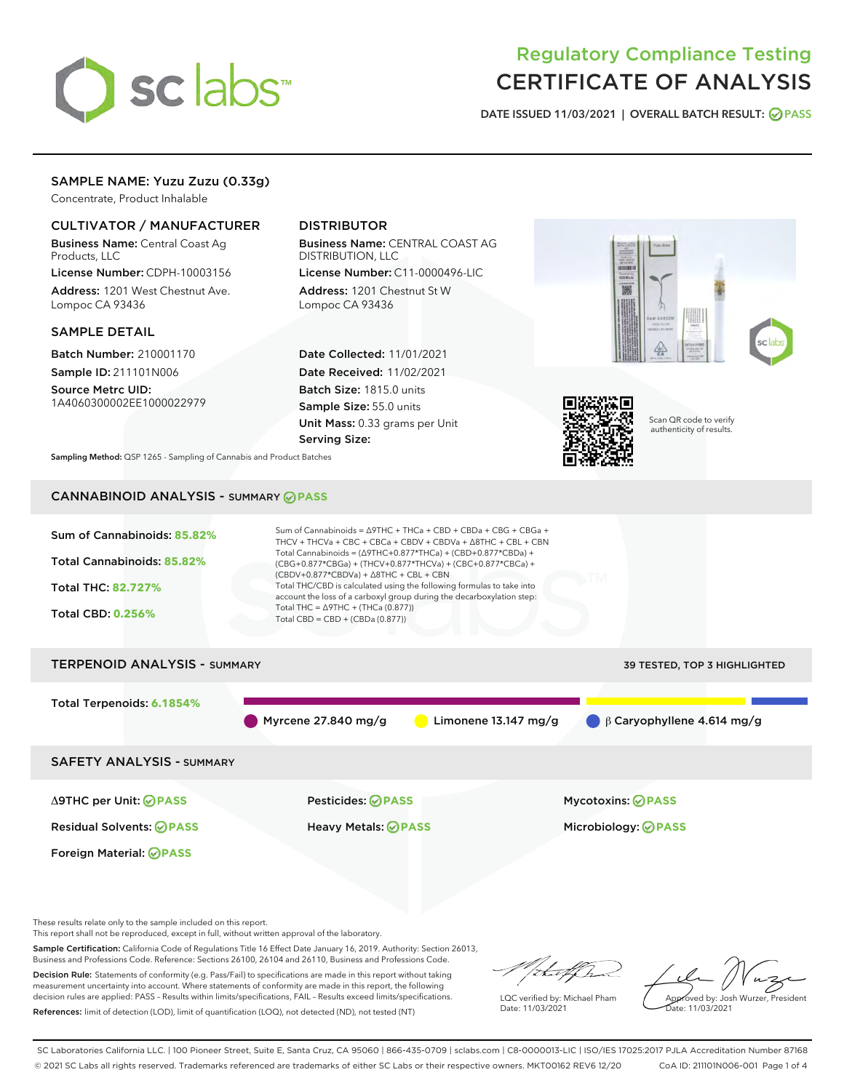

# Regulatory Compliance Testing CERTIFICATE OF ANALYSIS

DATE ISSUED 11/03/2021 | OVERALL BATCH RESULT: @ PASS

# SAMPLE NAME: Yuzu Zuzu (0.33g)

Concentrate, Product Inhalable

#### CULTIVATOR / MANUFACTURER

Business Name: Central Coast Ag Products, LLC

License Number: CDPH-10003156 Address: 1201 West Chestnut Ave. Lompoc CA 93436

#### SAMPLE DETAIL

Batch Number: 210001170 Sample ID: 211101N006

Source Metrc UID: 1A4060300002EE1000022979

# DISTRIBUTOR

Business Name: CENTRAL COAST AG DISTRIBUTION, LLC License Number: C11-0000496-LIC

Address: 1201 Chestnut St W Lompoc CA 93436

Date Collected: 11/01/2021 Date Received: 11/02/2021 Batch Size: 1815.0 units Sample Size: 55.0 units Unit Mass: 0.33 grams per Unit Serving Size:





Scan QR code to verify authenticity of results.

Sampling Method: QSP 1265 - Sampling of Cannabis and Product Batches

# CANNABINOID ANALYSIS - SUMMARY **PASS**



These results relate only to the sample included on this report.

This report shall not be reproduced, except in full, without written approval of the laboratory.

Sample Certification: California Code of Regulations Title 16 Effect Date January 16, 2019. Authority: Section 26013, Business and Professions Code. Reference: Sections 26100, 26104 and 26110, Business and Professions Code.

Decision Rule: Statements of conformity (e.g. Pass/Fail) to specifications are made in this report without taking measurement uncertainty into account. Where statements of conformity are made in this report, the following decision rules are applied: PASS – Results within limits/specifications, FAIL – Results exceed limits/specifications. References: limit of detection (LOD), limit of quantification (LOQ), not detected (ND), not tested (NT)

that f In

LQC verified by: Michael Pham Date: 11/03/2021

Approved by: Josh Wurzer, President ate: 11/03/2021

SC Laboratories California LLC. | 100 Pioneer Street, Suite E, Santa Cruz, CA 95060 | 866-435-0709 | sclabs.com | C8-0000013-LIC | ISO/IES 17025:2017 PJLA Accreditation Number 87168 © 2021 SC Labs all rights reserved. Trademarks referenced are trademarks of either SC Labs or their respective owners. MKT00162 REV6 12/20 CoA ID: 211101N006-001 Page 1 of 4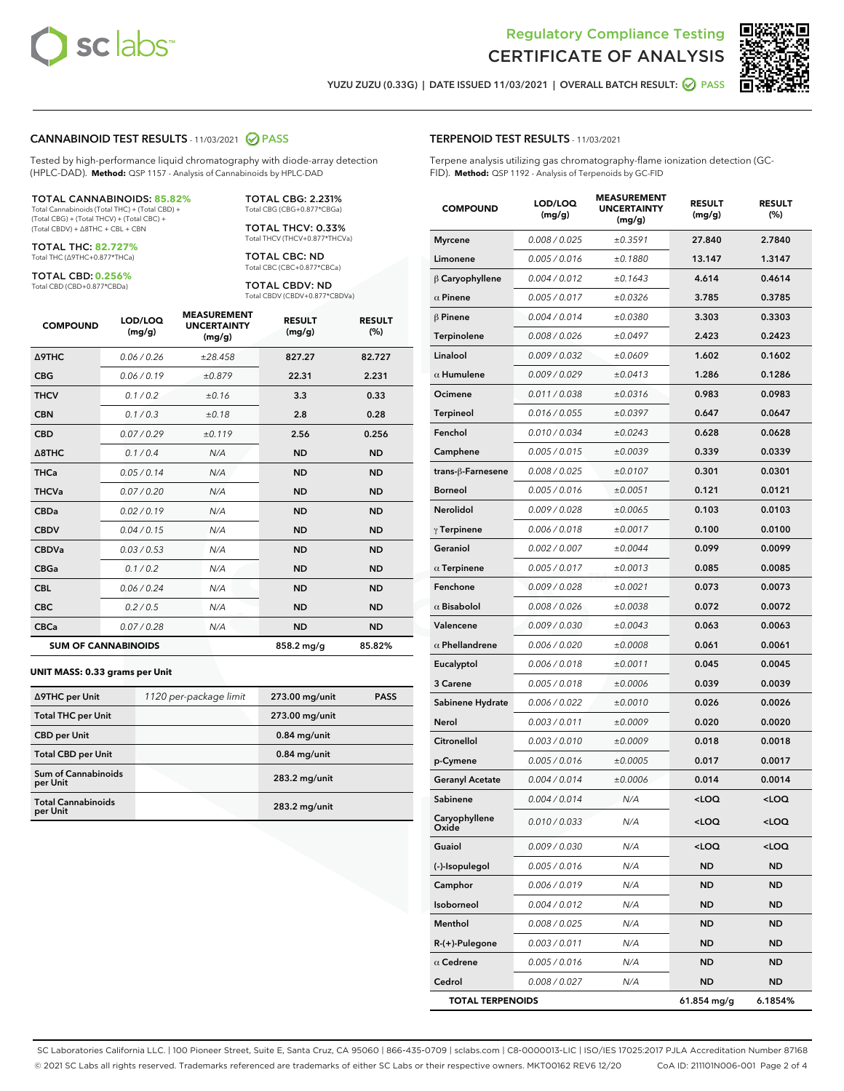



**RESULT** 

YUZU ZUZU (0.33G) | DATE ISSUED 11/03/2021 | OVERALL BATCH RESULT: ◯ PASS

#### CANNABINOID TEST RESULTS - 11/03/2021 2 PASS

Tested by high-performance liquid chromatography with diode-array detection (HPLC-DAD). **Method:** QSP 1157 - Analysis of Cannabinoids by HPLC-DAD

#### TOTAL CANNABINOIDS: **85.82%**

Total Cannabinoids (Total THC) + (Total CBD) + (Total CBG) + (Total THCV) + (Total CBC) + (Total CBDV) + ∆8THC + CBL + CBN

TOTAL THC: **82.727%** Total THC (∆9THC+0.877\*THCa)

TOTAL CBD: **0.256%**

Total CBD (CBD+0.877\*CBDa)

TOTAL CBG: 2.231% Total CBG (CBG+0.877\*CBGa)

TOTAL THCV: 0.33% Total THCV (THCV+0.877\*THCVa)

TOTAL CBC: ND Total CBC (CBC+0.877\*CBCa)

TOTAL CBDV: ND Total CBDV (CBDV+0.877\*CBDVa)

| <b>COMPOUND</b>            | LOD/LOQ<br>(mg/g) | <b>MEASUREMENT</b><br><b>UNCERTAINTY</b><br>(mg/g) | <b>RESULT</b><br>(mg/g) | <b>RESULT</b><br>(%) |
|----------------------------|-------------------|----------------------------------------------------|-------------------------|----------------------|
| <b>A9THC</b>               | 0.06 / 0.26       | ±28.458                                            | 827.27                  | 82.727               |
| <b>CBG</b>                 | 0.06/0.19         | ±0.879                                             | 22.31                   | 2.231                |
| <b>THCV</b>                | 0.1 / 0.2         | ±0.16                                              | 3.3                     | 0.33                 |
| <b>CBN</b>                 | 0.1/0.3           | ±0.18                                              | 2.8                     | 0.28                 |
| <b>CBD</b>                 | 0.07/0.29         | ±0.119                                             | 2.56                    | 0.256                |
| $\triangle$ 8THC           | 0.1 / 0.4         | N/A                                                | <b>ND</b>               | <b>ND</b>            |
| <b>THCa</b>                | 0.05/0.14         | N/A                                                | <b>ND</b>               | <b>ND</b>            |
| <b>THCVa</b>               | 0.07/0.20         | N/A                                                | <b>ND</b>               | <b>ND</b>            |
| <b>CBDa</b>                | 0.02/0.19         | N/A                                                | <b>ND</b>               | <b>ND</b>            |
| <b>CBDV</b>                | 0.04 / 0.15       | N/A                                                | <b>ND</b>               | <b>ND</b>            |
| <b>CBDVa</b>               | 0.03/0.53         | N/A                                                | <b>ND</b>               | <b>ND</b>            |
| <b>CBGa</b>                | 0.1/0.2           | N/A                                                | <b>ND</b>               | <b>ND</b>            |
| <b>CBL</b>                 | 0.06 / 0.24       | N/A                                                | <b>ND</b>               | <b>ND</b>            |
| <b>CBC</b>                 | 0.2 / 0.5         | N/A                                                | <b>ND</b>               | <b>ND</b>            |
| <b>CBCa</b>                | 0.07 / 0.28       | N/A                                                | <b>ND</b>               | <b>ND</b>            |
| <b>SUM OF CANNABINOIDS</b> |                   |                                                    | 858.2 mg/g              | 85.82%               |

#### **UNIT MASS: 0.33 grams per Unit**

| ∆9THC per Unit                        | 1120 per-package limit | 273.00 mg/unit  | <b>PASS</b> |
|---------------------------------------|------------------------|-----------------|-------------|
| <b>Total THC per Unit</b>             |                        | 273.00 mg/unit  |             |
| <b>CBD per Unit</b>                   |                        | $0.84$ mg/unit  |             |
| <b>Total CBD per Unit</b>             |                        | $0.84$ mg/unit  |             |
| Sum of Cannabinoids<br>per Unit       |                        | 283.2 mg/unit   |             |
| <b>Total Cannabinoids</b><br>per Unit |                        | $283.2$ mg/unit |             |

| <b>COMPOUND</b>         | (mg/g)        | <b>UNCERTAINTY</b><br>(mg/g) | (mg/g)                                          | (%)                 |
|-------------------------|---------------|------------------------------|-------------------------------------------------|---------------------|
| <b>Myrcene</b>          | 0.008 / 0.025 | ±0.3591                      | 27.840                                          | 2.7840              |
| Limonene                | 0.005 / 0.016 | ±0.1880                      | 13.147                                          | 1.3147              |
| $\beta$ Caryophyllene   | 0.004 / 0.012 | ±0.1643                      | 4.614                                           | 0.4614              |
| $\alpha$ Pinene         | 0.005 / 0.017 | ±0.0326                      | 3.785                                           | 0.3785              |
| $\beta$ Pinene          | 0.004 / 0.014 | ±0.0380                      | 3.303                                           | 0.3303              |
| Terpinolene             | 0.008 / 0.026 | ±0.0497                      | 2.423                                           | 0.2423              |
| Linalool                | 0.009 / 0.032 | ±0.0609                      | 1.602                                           | 0.1602              |
| $\alpha$ Humulene       | 0.009 / 0.029 | ±0.0413                      | 1.286                                           | 0.1286              |
| Ocimene                 | 0.011 / 0.038 | ±0.0316                      | 0.983                                           | 0.0983              |
| Terpineol               | 0.016 / 0.055 | ±0.0397                      | 0.647                                           | 0.0647              |
| Fenchol                 | 0.010 / 0.034 | ±0.0243                      | 0.628                                           | 0.0628              |
| Camphene                | 0.005 / 0.015 | ±0.0039                      | 0.339                                           | 0.0339              |
| trans-β-Farnesene       | 0.008 / 0.025 | ±0.0107                      | 0.301                                           | 0.0301              |
| Borneol                 | 0.005 / 0.016 | ±0.0051                      | 0.121                                           | 0.0121              |
| Nerolidol               | 0.009 / 0.028 | ±0.0065                      | 0.103                                           | 0.0103              |
| $\gamma$ Terpinene      | 0.006 / 0.018 | ±0.0017                      | 0.100                                           | 0.0100              |
| Geraniol                | 0.002 / 0.007 | ±0.0044                      | 0.099                                           | 0.0099              |
| $\alpha$ Terpinene      | 0.005 / 0.017 | ±0.0013                      | 0.085                                           | 0.0085              |
| Fenchone                | 0.009 / 0.028 | ±0.0021                      | 0.073                                           | 0.0073              |
| $\alpha$ Bisabolol      | 0.008 / 0.026 | ±0.0038                      | 0.072                                           | 0.0072              |
| Valencene               | 0.009 / 0.030 | ±0.0043                      | 0.063                                           | 0.0063              |
| $\alpha$ Phellandrene   | 0.006 / 0.020 | ±0.0008                      | 0.061                                           | 0.0061              |
| Eucalyptol              | 0.006 / 0.018 | ±0.0011                      | 0.045                                           | 0.0045              |
| 3 Carene                | 0.005 / 0.018 | ±0.0006                      | 0.039                                           | 0.0039              |
| Sabinene Hydrate        | 0.006 / 0.022 | ±0.0010                      | 0.026                                           | 0.0026              |
| Nerol                   | 0.003 / 0.011 | ±0.0009                      | 0.020                                           | 0.0020              |
| Citronellol             | 0.003 / 0.010 | ±0.0009                      | 0.018                                           | 0.0018              |
| p-Cymene                | 0.005 / 0.016 | ±0.0005                      | 0.017                                           | 0.0017              |
| <b>Geranyl Acetate</b>  | 0.004 / 0.014 | ±0.0006                      | 0.014                                           | 0.0014              |
| Sabinene                | 0.004 / 0.014 | N/A                          | <loq< th=""><th><loq< th=""></loq<></th></loq<> | <loq< th=""></loq<> |
| Caryophyllene<br>Oxide  | 0.010 / 0.033 | N/A                          | <loq< th=""><th><loq< th=""></loq<></th></loq<> | <loq< th=""></loq<> |
| Guaiol                  | 0.009 / 0.030 | N/A                          | <loq< th=""><th><loq< th=""></loq<></th></loq<> | <loq< th=""></loq<> |
| (-)-Isopulegol          | 0.005 / 0.016 | N/A                          | <b>ND</b>                                       | ND                  |
| Camphor                 | 0.006 / 0.019 | N/A                          | ND                                              | ND                  |
| Isoborneol              | 0.004 / 0.012 | N/A                          | ND                                              | ND                  |
| Menthol                 | 0.008 / 0.025 | N/A                          | ND                                              | ND                  |
| R-(+)-Pulegone          | 0.003 / 0.011 | N/A                          | ND                                              | ND                  |
| $\alpha$ Cedrene        | 0.005 / 0.016 | N/A                          | ND                                              | ND                  |
| Cedrol                  | 0.008 / 0.027 | N/A                          | ND                                              | ND                  |
| <b>TOTAL TERPENOIDS</b> |               |                              | 61.854 mg/g                                     | 6.1854%             |

SC Laboratories California LLC. | 100 Pioneer Street, Suite E, Santa Cruz, CA 95060 | 866-435-0709 | sclabs.com | C8-0000013-LIC | ISO/IES 17025:2017 PJLA Accreditation Number 87168 © 2021 SC Labs all rights reserved. Trademarks referenced are trademarks of either SC Labs or their respective owners. MKT00162 REV6 12/20 CoA ID: 211101N006-001 Page 2 of 4

## TERPENOID TEST RESULTS - 11/03/2021

LOD/LOO

Terpene analysis utilizing gas chromatography-flame ionization detection (GC-FID). **Method:** QSP 1192 - Analysis of Terpenoids by GC-FID

MEASUREMENT

**RESULT**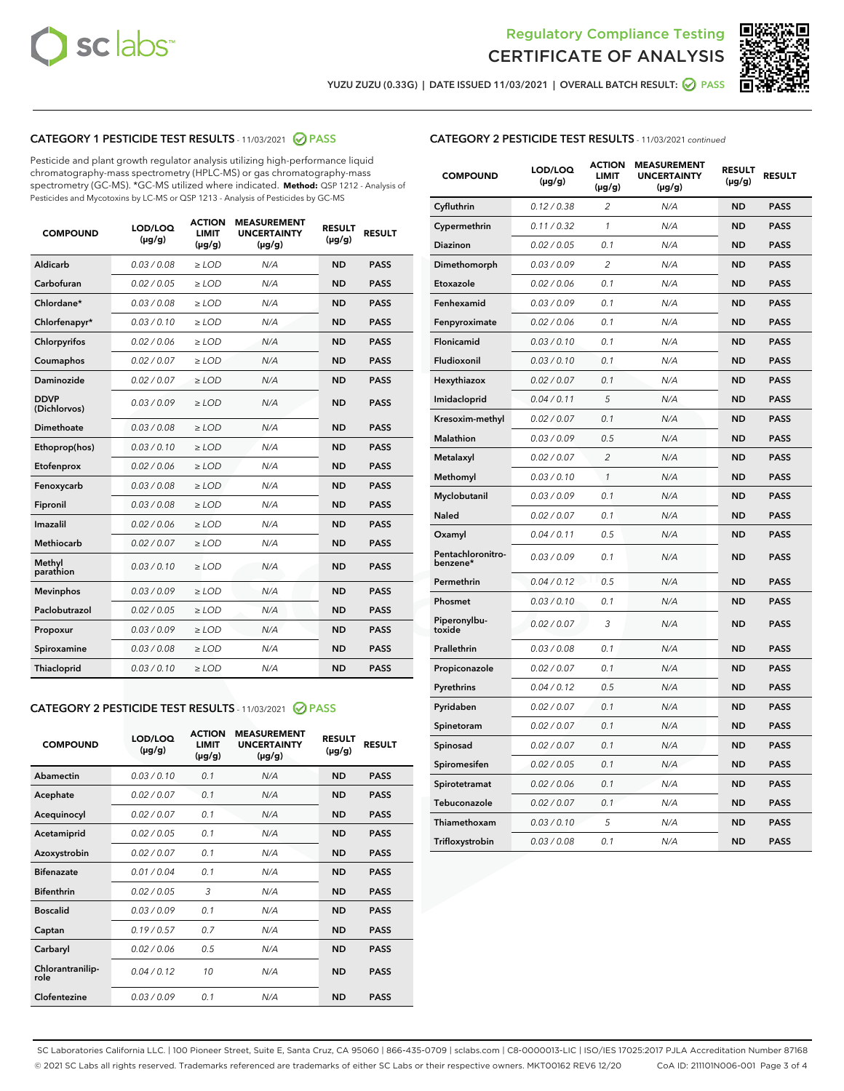



YUZU ZUZU (0.33G) | DATE ISSUED 11/03/2021 | OVERALL BATCH RESULT: ● PASS

# CATEGORY 1 PESTICIDE TEST RESULTS - 11/03/2021 2 PASS

Pesticide and plant growth regulator analysis utilizing high-performance liquid chromatography-mass spectrometry (HPLC-MS) or gas chromatography-mass spectrometry (GC-MS). \*GC-MS utilized where indicated. **Method:** QSP 1212 - Analysis of Pesticides and Mycotoxins by LC-MS or QSP 1213 - Analysis of Pesticides by GC-MS

| <b>COMPOUND</b>             | LOD/LOQ<br>$(\mu g/g)$ | <b>ACTION</b><br><b>LIMIT</b><br>$(\mu g/g)$ | <b>MEASUREMENT</b><br><b>UNCERTAINTY</b><br>$(\mu g/g)$ | <b>RESULT</b><br>$(\mu g/g)$ | <b>RESULT</b> |
|-----------------------------|------------------------|----------------------------------------------|---------------------------------------------------------|------------------------------|---------------|
| Aldicarb                    | 0.03 / 0.08            | $\geq$ LOD                                   | N/A                                                     | <b>ND</b>                    | <b>PASS</b>   |
| Carbofuran                  | 0.02/0.05              | $\ge$ LOD                                    | N/A                                                     | <b>ND</b>                    | <b>PASS</b>   |
| Chlordane*                  | 0.03 / 0.08            | $\ge$ LOD                                    | N/A                                                     | <b>ND</b>                    | <b>PASS</b>   |
| Chlorfenapyr*               | 0.03/0.10              | $\ge$ LOD                                    | N/A                                                     | <b>ND</b>                    | <b>PASS</b>   |
| Chlorpyrifos                | 0.02 / 0.06            | $\ge$ LOD                                    | N/A                                                     | <b>ND</b>                    | <b>PASS</b>   |
| Coumaphos                   | 0.02 / 0.07            | $\ge$ LOD                                    | N/A                                                     | <b>ND</b>                    | <b>PASS</b>   |
| Daminozide                  | 0.02 / 0.07            | $\ge$ LOD                                    | N/A                                                     | <b>ND</b>                    | <b>PASS</b>   |
| <b>DDVP</b><br>(Dichlorvos) | 0.03/0.09              | $\ge$ LOD                                    | N/A                                                     | <b>ND</b>                    | <b>PASS</b>   |
| Dimethoate                  | 0.03 / 0.08            | $\ge$ LOD                                    | N/A                                                     | <b>ND</b>                    | <b>PASS</b>   |
| Ethoprop(hos)               | 0.03/0.10              | $\ge$ LOD                                    | N/A                                                     | <b>ND</b>                    | <b>PASS</b>   |
| Etofenprox                  | 0.02/0.06              | $\ge$ LOD                                    | N/A                                                     | <b>ND</b>                    | <b>PASS</b>   |
| Fenoxycarb                  | 0.03/0.08              | $\ge$ LOD                                    | N/A                                                     | <b>ND</b>                    | <b>PASS</b>   |
| Fipronil                    | 0.03/0.08              | $\ge$ LOD                                    | N/A                                                     | <b>ND</b>                    | <b>PASS</b>   |
| Imazalil                    | 0.02 / 0.06            | $\ge$ LOD                                    | N/A                                                     | <b>ND</b>                    | <b>PASS</b>   |
| <b>Methiocarb</b>           | 0.02 / 0.07            | $\ge$ LOD                                    | N/A                                                     | <b>ND</b>                    | <b>PASS</b>   |
| Methyl<br>parathion         | 0.03/0.10              | $\ge$ LOD                                    | N/A                                                     | <b>ND</b>                    | <b>PASS</b>   |
| <b>Mevinphos</b>            | 0.03/0.09              | $\ge$ LOD                                    | N/A                                                     | <b>ND</b>                    | <b>PASS</b>   |
| Paclobutrazol               | 0.02 / 0.05            | $\ge$ LOD                                    | N/A                                                     | <b>ND</b>                    | <b>PASS</b>   |
| Propoxur                    | 0.03/0.09              | $\ge$ LOD                                    | N/A                                                     | <b>ND</b>                    | <b>PASS</b>   |
| Spiroxamine                 | 0.03 / 0.08            | $\ge$ LOD                                    | N/A                                                     | <b>ND</b>                    | <b>PASS</b>   |
| <b>Thiacloprid</b>          | 0.03/0.10              | $\ge$ LOD                                    | N/A                                                     | <b>ND</b>                    | <b>PASS</b>   |
|                             |                        |                                              |                                                         |                              |               |

# CATEGORY 2 PESTICIDE TEST RESULTS - 11/03/2021 @ PASS

| <b>COMPOUND</b>          | LOD/LOO<br>$(\mu g/g)$ | <b>ACTION</b><br><b>LIMIT</b><br>$(\mu g/g)$ | <b>MEASUREMENT</b><br><b>UNCERTAINTY</b><br>$(\mu g/g)$ | <b>RESULT</b><br>$(\mu g/g)$ | <b>RESULT</b> |
|--------------------------|------------------------|----------------------------------------------|---------------------------------------------------------|------------------------------|---------------|
| Abamectin                | 0.03/0.10              | 0.1                                          | N/A                                                     | <b>ND</b>                    | <b>PASS</b>   |
| Acephate                 | 0.02/0.07              | 0.1                                          | N/A                                                     | <b>ND</b>                    | <b>PASS</b>   |
| Acequinocyl              | 0.02/0.07              | 0.1                                          | N/A                                                     | <b>ND</b>                    | <b>PASS</b>   |
| Acetamiprid              | 0.02/0.05              | 0.1                                          | N/A                                                     | <b>ND</b>                    | <b>PASS</b>   |
| Azoxystrobin             | 0.02/0.07              | 0.1                                          | N/A                                                     | <b>ND</b>                    | <b>PASS</b>   |
| <b>Bifenazate</b>        | 0.01/0.04              | 0.1                                          | N/A                                                     | <b>ND</b>                    | <b>PASS</b>   |
| <b>Bifenthrin</b>        | 0.02/0.05              | 3                                            | N/A                                                     | <b>ND</b>                    | <b>PASS</b>   |
| <b>Boscalid</b>          | 0.03/0.09              | 0.1                                          | N/A                                                     | <b>ND</b>                    | <b>PASS</b>   |
| Captan                   | 0.19/0.57              | 0.7                                          | N/A                                                     | <b>ND</b>                    | <b>PASS</b>   |
| Carbaryl                 | 0.02/0.06              | 0.5                                          | N/A                                                     | <b>ND</b>                    | <b>PASS</b>   |
| Chlorantranilip-<br>role | 0.04/0.12              | 10                                           | N/A                                                     | <b>ND</b>                    | <b>PASS</b>   |
| Clofentezine             | 0.03/0.09              | 0.1                                          | N/A                                                     | <b>ND</b>                    | <b>PASS</b>   |

| <b>COMPOUND</b>               | LOD/LOQ<br>(µg/g) | <b>ACTION</b><br>LIMIT<br>$(\mu g/g)$ | <b>MEASUREMENT</b><br><b>UNCERTAINTY</b><br>$(\mu g/g)$ | <b>RESULT</b><br>(µg/g) | <b>RESULT</b> |
|-------------------------------|-------------------|---------------------------------------|---------------------------------------------------------|-------------------------|---------------|
| Cyfluthrin                    | 0.12 / 0.38       | 2                                     | N/A                                                     | <b>ND</b>               | <b>PASS</b>   |
| Cypermethrin                  | 0.11 / 0.32       | $\mathcal{I}$                         | N/A                                                     | <b>ND</b>               | <b>PASS</b>   |
| Diazinon                      | 0.02 / 0.05       | 0.1                                   | N/A                                                     | <b>ND</b>               | <b>PASS</b>   |
| Dimethomorph                  | 0.03 / 0.09       | 2                                     | N/A                                                     | <b>ND</b>               | <b>PASS</b>   |
| Etoxazole                     | 0.02 / 0.06       | 0.1                                   | N/A                                                     | <b>ND</b>               | <b>PASS</b>   |
| Fenhexamid                    | 0.03 / 0.09       | 0.1                                   | N/A                                                     | <b>ND</b>               | <b>PASS</b>   |
| Fenpyroximate                 | 0.02 / 0.06       | 0.1                                   | N/A                                                     | <b>ND</b>               | <b>PASS</b>   |
| Flonicamid                    | 0.03 / 0.10       | 0.1                                   | N/A                                                     | <b>ND</b>               | <b>PASS</b>   |
| Fludioxonil                   | 0.03 / 0.10       | 0.1                                   | N/A                                                     | <b>ND</b>               | <b>PASS</b>   |
| Hexythiazox                   | 0.02 / 0.07       | 0.1                                   | N/A                                                     | <b>ND</b>               | <b>PASS</b>   |
| Imidacloprid                  | 0.04 / 0.11       | 5                                     | N/A                                                     | <b>ND</b>               | <b>PASS</b>   |
| Kresoxim-methyl               | 0.02 / 0.07       | 0.1                                   | N/A                                                     | <b>ND</b>               | <b>PASS</b>   |
| Malathion                     | 0.03 / 0.09       | 0.5                                   | N/A                                                     | <b>ND</b>               | <b>PASS</b>   |
| Metalaxyl                     | 0.02 / 0.07       | $\overline{c}$                        | N/A                                                     | <b>ND</b>               | <b>PASS</b>   |
| Methomyl                      | 0.03 / 0.10       | $\mathcal{I}$                         | N/A                                                     | <b>ND</b>               | <b>PASS</b>   |
| Myclobutanil                  | 0.03 / 0.09       | 0.1                                   | N/A                                                     | <b>ND</b>               | <b>PASS</b>   |
| Naled                         | 0.02 / 0.07       | 0.1                                   | N/A                                                     | <b>ND</b>               | <b>PASS</b>   |
| Oxamyl                        | 0.04 / 0.11       | 0.5                                   | N/A                                                     | <b>ND</b>               | <b>PASS</b>   |
| Pentachloronitro-<br>benzene* | 0.03/0.09         | 0.1                                   | N/A                                                     | <b>ND</b>               | <b>PASS</b>   |
| Permethrin                    | 0.04 / 0.12       | 0.5                                   | N/A                                                     | <b>ND</b>               | <b>PASS</b>   |
| Phosmet                       | 0.03 / 0.10       | 0.1                                   | N/A                                                     | <b>ND</b>               | <b>PASS</b>   |
| Piperonylbu-<br>toxide        | 0.02 / 0.07       | 3                                     | N/A                                                     | <b>ND</b>               | <b>PASS</b>   |
| Prallethrin                   | 0.03 / 0.08       | 0.1                                   | N/A                                                     | <b>ND</b>               | <b>PASS</b>   |
| Propiconazole                 | 0.02 / 0.07       | 0.1                                   | N/A                                                     | <b>ND</b>               | <b>PASS</b>   |
| Pyrethrins                    | 0.04 / 0.12       | 0.5                                   | N/A                                                     | <b>ND</b>               | <b>PASS</b>   |
| Pyridaben                     | 0.02 / 0.07       | 0.1                                   | N/A                                                     | <b>ND</b>               | <b>PASS</b>   |
| Spinetoram                    | 0.02 / 0.07       | 0.1                                   | N/A                                                     | <b>ND</b>               | <b>PASS</b>   |
| Spinosad                      | 0.02 / 0.07       | 0.1                                   | N/A                                                     | <b>ND</b>               | <b>PASS</b>   |
| Spiromesifen                  | 0.02 / 0.05       | 0.1                                   | N/A                                                     | <b>ND</b>               | <b>PASS</b>   |
| Spirotetramat                 | 0.02 / 0.06       | 0.1                                   | N/A                                                     | <b>ND</b>               | <b>PASS</b>   |
| Tebuconazole                  | 0.02 / 0.07       | 0.1                                   | N/A                                                     | <b>ND</b>               | <b>PASS</b>   |
| Thiamethoxam                  | 0.03 / 0.10       | 5                                     | N/A                                                     | <b>ND</b>               | <b>PASS</b>   |
| Trifloxystrobin               | 0.03 / 0.08       | 0.1                                   | N/A                                                     | <b>ND</b>               | <b>PASS</b>   |

SC Laboratories California LLC. | 100 Pioneer Street, Suite E, Santa Cruz, CA 95060 | 866-435-0709 | sclabs.com | C8-0000013-LIC | ISO/IES 17025:2017 PJLA Accreditation Number 87168 © 2021 SC Labs all rights reserved. Trademarks referenced are trademarks of either SC Labs or their respective owners. MKT00162 REV6 12/20 CoA ID: 211101N006-001 Page 3 of 4